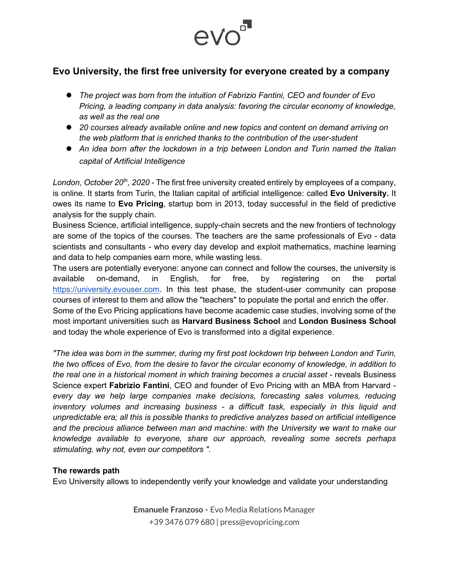

## **Evo University, the first free university for everyone created by a company**

- *The project was born from the intuition of Fabrizio Fantini, CEO and founder of Evo Pricing, a leading company in data analysis: favoring the circular economy of knowledge, as well as the real one*
- *20 courses already available online and new topics and content on demand arriving on the web platform that is enriched thanks to the contribution of the user-student*
- *An idea born after the lockdown in a trip between London and Turin named the Italian capital of Artificial Intelligence*

*London, October 20th, 2020* - The first free university created entirely by employees of a company, is online. It starts from Turin, the Italian capital of artificial intelligence: called **Evo University.** It owes its name to **Evo Pricing**, startup born in 2013, today successful in the field of predictive analysis for the supply chain.

Business Science, artificial intelligence, supply-chain secrets and the new frontiers of technology are some of the topics of the courses. The teachers are the same professionals of Evo - data scientists and consultants - who every day develop and exploit mathematics, machine learning and data to help companies earn more, while wasting less.

The users are potentially everyone: anyone can connect and follow the courses, the university is available on-demand, in English, for free, by registering on the portal [https://university.evouser.com.](https://university.evouser.com/) In this test phase, the student-user community can propose courses of interest to them and allow the "teachers" to populate the portal and enrich the offer.

Some of the Evo Pricing applications have become academic case studies, involving some of the most important universities such as **Harvard Business School** and **London Business School** and today the whole experience of Evo is transformed into a digital experience.

*"The idea was born in the summer, during my first post lockdown trip between London and Turin, the two offices of Evo, from the desire to favor the circular economy of knowledge, in addition to the real one in a historical moment in which training becomes a crucial asset* - reveals Business Science expert **Fabrizio Fantini**, CEO and founder of Evo Pricing with an MBA from Harvard *every day we help large companies make decisions, forecasting sales volumes, reducing inventory volumes and increasing business - a difficult task, especially in this liquid and unpredictable era; all this is possible thanks to predictive analyzes based on artificial intelligence and the precious alliance between man and machine: with the University we want to make our knowledge available to everyone, share our approach, revealing some secrets perhaps stimulating, why not, even our competitors ".* 

## **The rewards path**

Evo University allows to independently verify your knowledge and validate your understanding

**Emanuele Franzoso -** Evo Media Relations Manager +39 3476 079 680 | press@evopricing.com